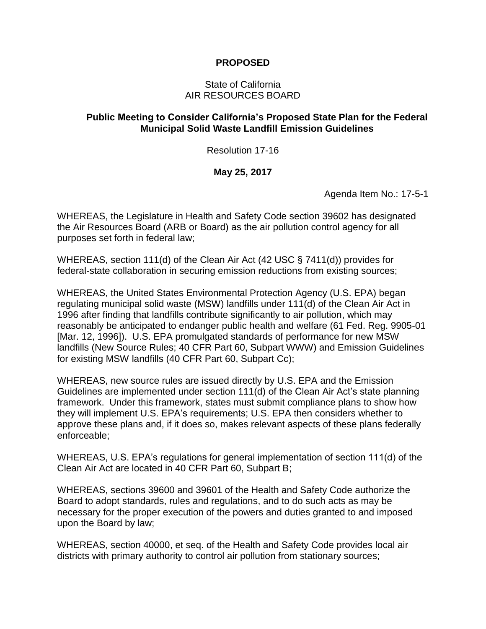## **PROPOSED**

### State of California AIR RESOURCES BOARD

## **Public Meeting to Consider California's Proposed State Plan for the Federal Municipal Solid Waste Landfill Emission Guidelines**

Resolution 17-16

## **May 25, 2017**

Agenda Item No.: 17-5-1

WHEREAS, the Legislature in Health and Safety Code section 39602 has designated the Air Resources Board (ARB or Board) as the air pollution control agency for all purposes set forth in federal law;

WHEREAS, section 111(d) of the Clean Air Act (42 USC § 7411(d)) provides for federal-state collaboration in securing emission reductions from existing sources;

WHEREAS, the United States Environmental Protection Agency (U.S. EPA) began regulating municipal solid waste (MSW) landfills under 111(d) of the Clean Air Act in 1996 after finding that landfills contribute significantly to air pollution, which may reasonably be anticipated to endanger public health and welfare (61 Fed. Reg. 9905-01 [Mar. 12, 1996]). U.S. EPA promulgated standards of performance for new MSW landfills (New Source Rules; 40 CFR Part 60, Subpart WWW) and Emission Guidelines for existing MSW landfills (40 CFR Part 60, Subpart Cc);

WHEREAS, new source rules are issued directly by U.S. EPA and the Emission Guidelines are implemented under section 111(d) of the Clean Air Act's state planning framework. Under this framework, states must submit compliance plans to show how they will implement U.S. EPA's requirements; U.S. EPA then considers whether to approve these plans and, if it does so, makes relevant aspects of these plans federally enforceable;

WHEREAS, U.S. EPA's regulations for general implementation of section 111(d) of the Clean Air Act are located in 40 CFR Part 60, Subpart B;

WHEREAS, sections 39600 and 39601 of the Health and Safety Code authorize the Board to adopt standards, rules and regulations, and to do such acts as may be necessary for the proper execution of the powers and duties granted to and imposed upon the Board by law;

WHEREAS, section 40000, et seq. of the Health and Safety Code provides local air districts with primary authority to control air pollution from stationary sources;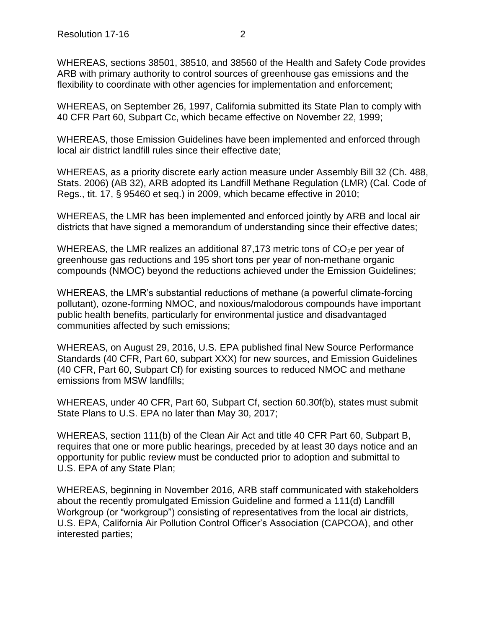WHEREAS, sections 38501, 38510, and 38560 of the Health and Safety Code provides ARB with primary authority to control sources of greenhouse gas emissions and the flexibility to coordinate with other agencies for implementation and enforcement;

WHEREAS, on September 26, 1997, California submitted its State Plan to comply with 40 CFR Part 60, Subpart Cc, which became effective on November 22, 1999;

WHEREAS, those Emission Guidelines have been implemented and enforced through local air district landfill rules since their effective date;

WHEREAS, as a priority discrete early action measure under Assembly Bill 32 (Ch. 488, Stats. 2006) (AB 32), ARB adopted its Landfill Methane Regulation (LMR) (Cal. Code of Regs., tit. 17, § 95460 et seq.) in 2009, which became effective in 2010;

WHEREAS, the LMR has been implemented and enforced jointly by ARB and local air districts that have signed a memorandum of understanding since their effective dates;

WHEREAS, the LMR realizes an additional 87,173 metric tons of  $CO<sub>2</sub>e$  per year of greenhouse gas reductions and 195 short tons per year of non-methane organic compounds (NMOC) beyond the reductions achieved under the Emission Guidelines;

WHEREAS, the LMR's substantial reductions of methane (a powerful climate-forcing pollutant), ozone-forming NMOC, and noxious/malodorous compounds have important public health benefits, particularly for environmental justice and disadvantaged communities affected by such emissions;

WHEREAS, on August 29, 2016, U.S. EPA published final New Source Performance Standards (40 CFR, Part 60, subpart XXX) for new sources, and Emission Guidelines (40 CFR, Part 60, Subpart Cf) for existing sources to reduced NMOC and methane emissions from MSW landfills;

WHEREAS, under 40 CFR, Part 60, Subpart Cf, section 60.30f(b), states must submit State Plans to U.S. EPA no later than May 30, 2017;

WHEREAS, section 111(b) of the Clean Air Act and title 40 CFR Part 60, Subpart B, requires that one or more public hearings, preceded by at least 30 days notice and an opportunity for public review must be conducted prior to adoption and submittal to U.S. EPA of any State Plan;

WHEREAS, beginning in November 2016, ARB staff communicated with stakeholders about the recently promulgated Emission Guideline and formed a 111(d) Landfill Workgroup (or "workgroup") consisting of representatives from the local air districts, U.S. EPA, California Air Pollution Control Officer's Association (CAPCOA), and other interested parties;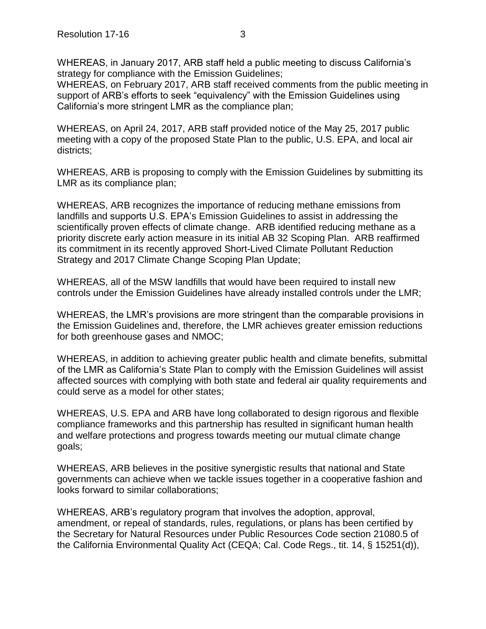WHEREAS, in January 2017, ARB staff held a public meeting to discuss California's strategy for compliance with the Emission Guidelines;

WHEREAS, on February 2017, ARB staff received comments from the public meeting in support of ARB's efforts to seek "equivalency" with the Emission Guidelines using California's more stringent LMR as the compliance plan;

WHEREAS, on April 24, 2017, ARB staff provided notice of the May 25, 2017 public meeting with a copy of the proposed State Plan to the public, U.S. EPA, and local air districts;

WHEREAS, ARB is proposing to comply with the Emission Guidelines by submitting its LMR as its compliance plan;

WHEREAS, ARB recognizes the importance of reducing methane emissions from landfills and supports U.S. EPA's Emission Guidelines to assist in addressing the scientifically proven effects of climate change. ARB identified reducing methane as a priority discrete early action measure in its initial AB 32 Scoping Plan. ARB reaffirmed its commitment in its recently approved Short-Lived Climate Pollutant Reduction Strategy and 2017 Climate Change Scoping Plan Update;

WHEREAS, all of the MSW landfills that would have been required to install new controls under the Emission Guidelines have already installed controls under the LMR;

WHEREAS, the LMR's provisions are more stringent than the comparable provisions in the Emission Guidelines and, therefore, the LMR achieves greater emission reductions for both greenhouse gases and NMOC;

WHEREAS, in addition to achieving greater public health and climate benefits, submittal of the LMR as California's State Plan to comply with the Emission Guidelines will assist affected sources with complying with both state and federal air quality requirements and could serve as a model for other states;

WHEREAS, U.S. EPA and ARB have long collaborated to design rigorous and flexible compliance frameworks and this partnership has resulted in significant human health and welfare protections and progress towards meeting our mutual climate change goals;

WHEREAS, ARB believes in the positive synergistic results that national and State governments can achieve when we tackle issues together in a cooperative fashion and looks forward to similar collaborations;

WHEREAS, ARB's regulatory program that involves the adoption, approval, amendment, or repeal of standards, rules, regulations, or plans has been certified by the Secretary for Natural Resources under Public Resources Code section 21080.5 of the California Environmental Quality Act (CEQA; Cal. Code Regs., tit. 14, § 15251(d)),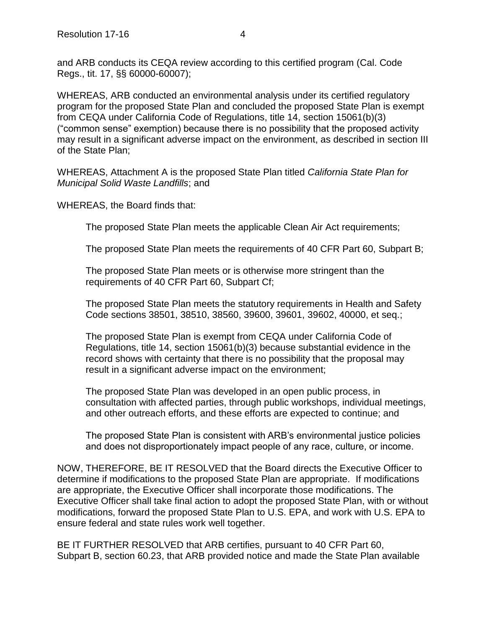and ARB conducts its CEQA review according to this certified program (Cal. Code Regs., tit. 17, §§ 60000-60007);

WHEREAS, ARB conducted an environmental analysis under its certified regulatory program for the proposed State Plan and concluded the proposed State Plan is exempt from CEQA under California Code of Regulations, title 14, section 15061(b)(3) ("common sense" exemption) because there is no possibility that the proposed activity may result in a significant adverse impact on the environment, as described in section III of the State Plan;

WHEREAS, Attachment A is the proposed State Plan titled *California State Plan for Municipal Solid Waste Landfills*; and

WHEREAS, the Board finds that:

The proposed State Plan meets the applicable Clean Air Act requirements;

The proposed State Plan meets the requirements of 40 CFR Part 60, Subpart B;

The proposed State Plan meets or is otherwise more stringent than the requirements of 40 CFR Part 60, Subpart Cf;

The proposed State Plan meets the statutory requirements in Health and Safety Code sections 38501, 38510, 38560, 39600, 39601, 39602, 40000, et seq.;

The proposed State Plan is exempt from CEQA under California Code of Regulations, title 14, section 15061(b)(3) because substantial evidence in the record shows with certainty that there is no possibility that the proposal may result in a significant adverse impact on the environment;

The proposed State Plan was developed in an open public process, in consultation with affected parties, through public workshops, individual meetings, and other outreach efforts, and these efforts are expected to continue; and

The proposed State Plan is consistent with ARB's environmental justice policies and does not disproportionately impact people of any race, culture, or income.

NOW, THEREFORE, BE IT RESOLVED that the Board directs the Executive Officer to determine if modifications to the proposed State Plan are appropriate. If modifications are appropriate, the Executive Officer shall incorporate those modifications. The Executive Officer shall take final action to adopt the proposed State Plan, with or without modifications, forward the proposed State Plan to U.S. EPA, and work with U.S. EPA to ensure federal and state rules work well together.

BE IT FURTHER RESOLVED that ARB certifies, pursuant to 40 CFR Part 60, Subpart B, section 60.23, that ARB provided notice and made the State Plan available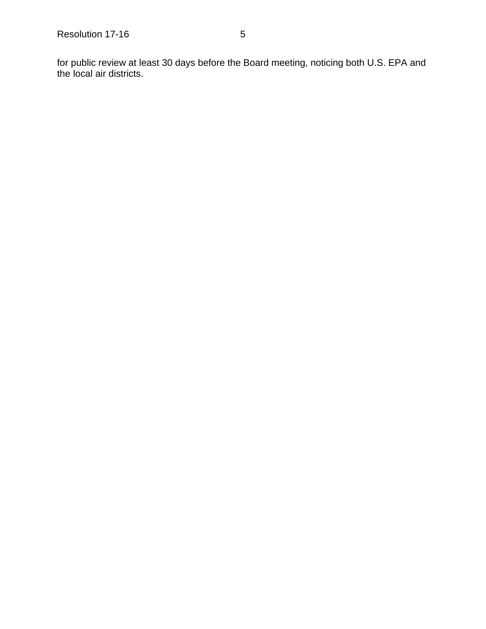for public review at least 30 days before the Board meeting, noticing both U.S. EPA and the local air districts.